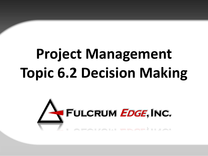# **Project Management Topic 6.2 Decision Making**

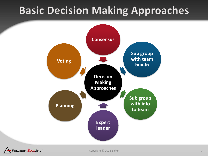#### **Basic Decision Making Approaches**



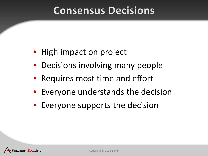#### **Consensus Decisions**

- High impact on project
- Decisions involving many people
- Requires most time and effort
- Everyone understands the decision
- Everyone supports the decision

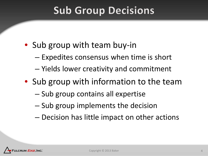#### **Sub Group Decisions**

- Sub group with team buy-in
	- Expedites consensus when time is short
	- Yields lower creativity and commitment
- Sub group with information to the team
	- Sub group contains all expertise
	- Sub group implements the decision
	- Decision has little impact on other actions

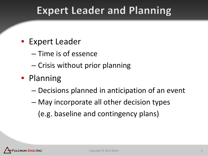#### **Expert Leader and Planning**

- Expert Leader
	- Time is of essence
	- Crisis without prior planning
- Planning
	- Decisions planned in anticipation of an event
	- May incorporate all other decision types – (e.g. baseline and contingency plans)

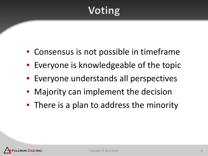## Voting

- Consensus is not possible in timeframe
- Everyone is knowledgeable of the topic
- Everyone understands all perspectives
- Majority can implement the decision
- There is a plan to address the minority